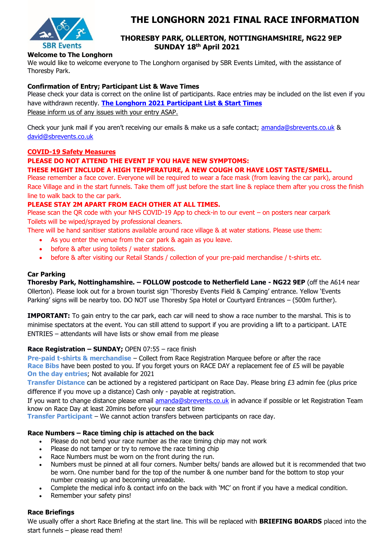

# **THE LONGHORN 2021 FINAL RACE INFORMATION**

# **THORESBY PARK, OLLERTON, NOTTINGHAMSHIRE, NG22 9EP SUNDAY 18 th April 2021**

# **Welcome to The Longhorn**

We would like to welcome everyone to The Longhorn organised by SBR Events Limited, with the assistance of Thoresby Park.

### **Confirmation of Entry; Participant List & Wave Times**

Please check your data is correct on the online list of participants. Race entries may be included on the list even if you have withdrawn recently. **[The Longhorn 2021 Participant List & Start Times](https://jcracesolutions.co.uk/event/the-longhorn-sunday-april-18th-2021/)** Please inform us of any issues with your entry ASAP.

Check your junk mail if you aren't receiving our emails & make us a safe contact; [amanda@sbrevents.co.uk](mailto:amanda@sbrevents.co.uk) & [david@sbrevents.co.uk](mailto:david@sbrevents.co.uk)

# **COVID-19 Safety Measures**

# **PLEASE DO NOT ATTEND THE EVENT IF YOU HAVE NEW SYMPTOMS:**

# **THESE MIGHT INCLUDE A HIGH TEMPERATURE, A NEW COUGH OR HAVE LOST TASTE/SMELL.**

Please remember a face cover. Everyone will be required to wear a face mask (from leaving the car park), around Race Village and in the start funnels. Take them off just before the start line & replace them after you cross the finish line to walk back to the car park.

# **PLEASE STAY 2M APART FROM EACH OTHER AT ALL TIMES.**

Please scan the QR code with your NHS COVID-19 App to check-in to our event – on posters near carpark Toilets will be wiped/sprayed by professional cleaners.

There will be hand sanitiser stations available around race village & at water stations. Please use them:

- As you enter the venue from the car park & again as you leave.
- before & after using toilets / water stations.
- before & after visiting our Retail Stands / collection of your pre-paid merchandise / t-shirts etc.

### **Car Parking**

**Thoresby Park, Nottinghamshire. – FOLLOW postcode to Netherfield Lane - NG22 9EP** (off the A614 near Ollerton). Please look out for a brown tourist sign 'Thoresby Events Field & Camping' entrance. Yellow 'Events Parking' signs will be nearby too. DO NOT use Thoresby Spa Hotel or Courtyard Entrances – (500m further).

**IMPORTANT:** To gain entry to the car park, each car will need to show a race number to the marshal. This is to minimise spectators at the event. You can still attend to support if you are providing a lift to a participant. LATE ENTRIES – attendants will have lists or show email from me please

### **Race Registration – SUNDAY;** OPEN 07:55 – race finish

**Pre-paid t-shirts & merchandise** – Collect from Race Registration Marquee before or after the race **Race Bibs** have been posted to you. If you forget yours on RACE DAY a replacement fee of £5 will be payable **On the day entries**; Not available for 2021

**Transfer Distance** can be actioned by a registered participant on Race Day. Please bring £3 admin fee (plus price difference if you move up a distance) Cash only - payable at registration.

If you want to change distance please email [amanda@sbrevents.co.uk](mailto:amanda@sbrevents.co.uk) in advance if possible or let Registration Team know on Race Day at least 20mins before your race start time

**Transfer Participant** – We cannot action transfers between participants on race day.

### **Race Numbers – Race timing chip is attached on the back**

- Please do not bend your race number as the race timing chip may not work
- Please do not tamper or try to remove the race timing chip
- Race Numbers must be worn on the front during the run.
- Numbers must be pinned at all four corners. Number belts/ bands are allowed but it is recommended that two be worn. One number band for the top of the number & one number band for the bottom to stop your number creasing up and becoming unreadable.
- Complete the medical info & contact info on the back with 'MC' on front if you have a medical condition.
- Remember your safety pins!

### **Race Briefings**

We usually offer a short Race Briefing at the start line. This will be replaced with **BRIEFING BOARDS** placed into the start funnels – please read them!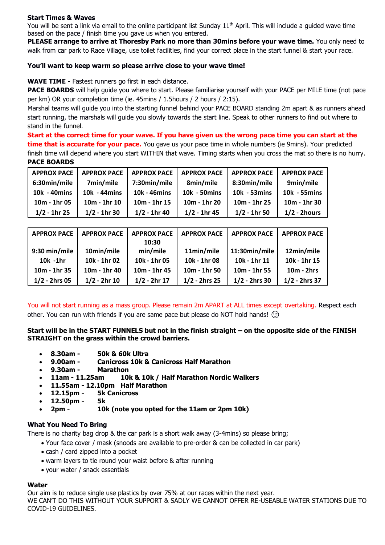# **Start Times & Waves**

You will be sent a link via email to the online participant list Sunday  $11<sup>th</sup>$  April. This will include a quided wave time based on the pace / finish time you gave us when you entered.

**PLEASE arrange to arrive at Thoresby Park no more than 30mins before your wave time.** You only need to walk from car park to Race Village, use toilet facilities, find your correct place in the start funnel & start your race.

# **You'll want to keep warm so please arrive close to your wave time!**

**WAVE TIME -** Fastest runners go first in each distance.

**PACE BOARDS** will help quide you where to start. Please familiarise yourself with your PACE per MILE time (not pace per km) OR your completion time (ie. 45mins / 1.5hours / 2 hours / 2:15).

Marshal teams will guide you into the starting funnel behind your PACE BOARD standing 2m apart & as runners ahead start running, the marshals will guide you slowly towards the start line. Speak to other runners to find out where to stand in the funnel.

**Start at the correct time for your wave. If you have given us the wrong pace time you can start at the time that is accurate for your pace.** You gave us your pace time in whole numbers (ie 9mins). Your predicted finish time will depend where you start WITHIN that wave. Timing starts when you cross the mat so there is no hurry. **PACE BOARDS** 

| <b>APPROX PACE</b> | <b>APPROX PACE</b> | <b>APPROX PACE</b> | <b>APPROX PACE</b> | <b>APPROX PACE</b> | <b>APPROX PACE</b> |
|--------------------|--------------------|--------------------|--------------------|--------------------|--------------------|
| 6:30min/mile       | 7min/mile          | 7:30min/mile       | 8min/mile          | 8:30min/mile       | 9min/mile          |
| 10k - 40mins       | 10k - 44mins       | 10k - 46mins       | 10k - 50mins       | 10k - 53 mins      | 10k - 55mins       |
| 10m - 1hr 05       | $10m - 1hr$ 10     | 10m - 1hr 15       | 10m - 1hr 20       | 10m - 1hr 25       | 10m - 1hr 30       |
| $1/2 - 1$ hr 25    | $1/2 - 1$ hr 30    | $1/2 - 1$ hr 40    | $1/2 - 1$ hr 45    | $1/2 - 1$ hr 50    | $1/2 - 2$ hours    |

| <b>APPROX PACE</b> | <b>APPROX PACE</b> | <b>APPROX PACE</b> | <b>APPROX PACE</b> | <b>APPROX PACE</b> | <b>APPROX PACE</b> |
|--------------------|--------------------|--------------------|--------------------|--------------------|--------------------|
|                    |                    | 10:30              |                    |                    |                    |
| 9:30 min/mile      | 10min/mile         | min/mile           | 11min/mile         | 11:30min/mile      | 12min/mile         |
| $10k - 1hr$        | 10k - 1hr 02       | 10k - 1hr 05       | 10k - 1hr 08       | 10k - 1hr 11       | 10k - 1hr 15       |
| $10m - 1hr$ 35     | 10m - 1hr 40       | 10m - 1hr 45       | $10m - 1hr$ 50     | 10m - 1hr 55       | $10m - 2hrs$       |
| $1/2 - 2$ hrs 05   | $1/2 - 2hr 10$     | $1/2 - 2hr 17$     | $1/2 - 2$ hrs 25   | $1/2 - 2$ hrs 30   | 1/2 - 2hrs 37      |

You will not start running as a mass group. Please remain 2m APART at ALL times except overtaking. Respect each other. You can run with friends if you are same pace but please do NOT hold hands!  $\circled$ 

**Start will be in the START FUNNELS but not in the finish straight – on the opposite side of the FINISH STRAIGHT on the grass within the crowd barriers.** 

- **8.30am - 50k & 60k Ultra**
- **9.00am - Canicross 10k & Canicross Half Marathon**
- **9.30am - Marathon**
- **11am - 11.25am 10k & 10k / Half Marathon Nordic Walkers**
- **11.55am - 12.10pm Half Marathon**
- **12.15pm - 5k Canicross**
- **12.50pm - 5k**
- **2pm - 10k (note you opted for the 11am or 2pm 10k)**

### **What You Need To Bring**

There is no charity bag drop & the car park is a short walk away (3-4mins) so please bring;

- Your face cover / mask (snoods are available to pre-order & can be collected in car park)
- cash / card zipped into a pocket
- warm layers to tie round your waist before & after running
- your water / snack essentials

# **Water**

Our aim is to reduce single use plastics by over 75% at our races within the next year. WE CAN'T DO THIS WITHOUT YOUR SUPPORT & SADLY WE CANNOT OFFER RE-USEABLE WATER STATIONS DUE TO COVID-19 GUIDELINES.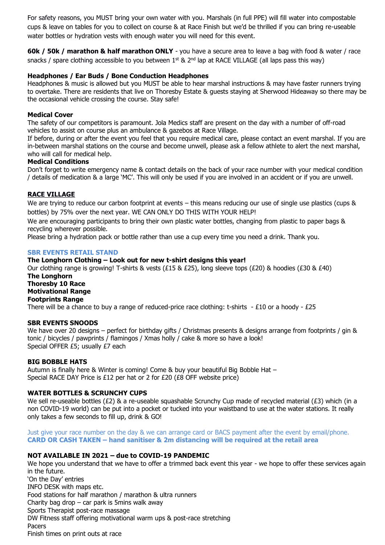For safety reasons, you MUST bring your own water with you. Marshals (in full PPE) will fill water into compostable cups & leave on tables for you to collect on course & at Race Finish but we'd be thrilled if you can bring re-useable water bottles or hydration vests with enough water you will need for this event.

**60k / 50k / marathon & half marathon ONLY** - you have a secure area to leave a bag with food & water / race snacks / spare clothing accessible to you between  $1^{st}$  &  $2^{nd}$  lap at RACE VILLAGE (all laps pass this way)

# **Headphones / Ear Buds / Bone Conduction Headphones**

Headphones & music is allowed but you MUST be able to hear marshal instructions & may have faster runners trying to overtake. There are residents that live on Thoresby Estate & guests staying at Sherwood Hideaway so there may be the occasional vehicle crossing the course. Stay safe!

### **Medical Cover**

The safety of our competitors is paramount. Jola Medics staff are present on the day with a number of off-road vehicles to assist on course plus an ambulance & gazebos at Race Village.

If before, during or after the event you feel that you require medical care, please contact an event marshal. If you are in-between marshal stations on the course and become unwell, please ask a fellow athlete to alert the next marshal, who will call for medical help.

### **Medical Conditions**

Don't forget to write emergency name & contact details on the back of your race number with your medical condition / details of medication & a large 'MC'. This will only be used if you are involved in an accident or if you are unwell.

# **RACE VILLAGE**

We are trying to reduce our carbon footprint at events – this means reducing our use of single use plastics (cups & bottles) by 75% over the next year. WE CAN ONLY DO THIS WITH YOUR HELP!

We are encouraging participants to bring their own plastic water bottles, changing from plastic to paper bags & recycling wherever possible.

Please bring a hydration pack or bottle rather than use a cup every time you need a drink. Thank you.

#### **SBR EVENTS RETAIL STAND**

### **The Longhorn Clothing – Look out for new t-shirt designs this year!**

Our clothing range is growing! T-shirts & vests (£15 & £25), long sleeve tops (£20) & hoodies (£30 & £40) **The Longhorn Thoresby 10 Race Motivational Range Footprints Range** There will be a chance to buy a range of reduced-price race clothing: t-shirts  $-E10$  or a hoody -  $E25$ 

### **SBR EVENTS SNOODS**

We have over 20 designs – perfect for birthday gifts / Christmas presents & designs arrange from footprints / gin & tonic / bicycles / pawprints / flamingos / Xmas holly / cake & more so have a look! Special OFFER £5; usually £7 each

### **BIG BOBBLE HATS**

Autumn is finally here & Winter is coming! Come & buy your beautiful Big Bobble Hat – Special RACE DAY Price is £12 per hat or 2 for £20 (£8 OFF website price)

### **WATER BOTTLES & SCRUNCHY CUPS**

We sell re-useable bottles (£2) & a re-useable squashable Scrunchy Cup made of recycled material (£3) which (in a non COVID-19 world) can be put into a pocket or tucked into your waistband to use at the water stations. It really only takes a few seconds to fill up, drink & GO!

Just give your race number on the day & we can arrange card or BACS payment after the event by email/phone. **CARD OR CASH TAKEN – hand sanitiser & 2m distancing will be required at the retail area**

### **NOT AVAILABLE IN 2021 – due to COVID-19 PANDEMIC**

We hope you understand that we have to offer a trimmed back event this year - we hope to offer these services again in the future. 'On the Day' entries INFO DESK with maps etc. Food stations for half marathon / marathon & ultra runners Charity bag drop  $-$  car park is 5mins walk away Sports Therapist post-race massage DW Fitness staff offering motivational warm ups & post-race stretching Pacers

Finish times on print outs at race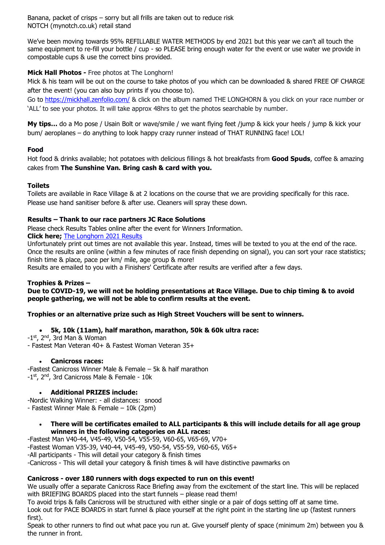Banana, packet of crisps – sorry but all frills are taken out to reduce risk NOTCH (mynotch.co.uk) retail stand

We've been moving towards 95% REFILLABLE WATER METHODS by end 2021 but this year we can't all touch the same equipment to re-fill your bottle / cup - so PLEASE bring enough water for the event or use water we provide in compostable cups & use the correct bins provided.

# **Mick Hall Photos -** Free photos at The Longhorn!

Mick & his team will be out on the course to take photos of you which can be downloaded & shared FREE OF CHARGE after the event! (you can also buy prints if you choose to).

Go to<https://mickhall.zenfolio.com/> & click on the album named THE LONGHORN & you click on your race number or 'ALL' to see your photos. It will take approx 48hrs to get the photos searchable by number.

**My tips…** do a Mo pose / Usain Bolt or wave/smile / we want flying feet /jump & kick your heels / jump & kick your bum/ aeroplanes – do anything to look happy crazy runner instead of THAT RUNNING face! LOL!

# **Food**

Hot food & drinks available; hot potatoes with delicious fillings & hot breakfasts from **Good Spuds**, coffee & amazing cakes from **The Sunshine Van. Bring cash & card with you.**

# **Toilets**

Toilets are available in Race Village & at 2 locations on the course that we are providing specifically for this race. Please use hand sanitiser before & after use. Cleaners will spray these down.

# **Results – Thank to our race partners JC Race Solutions**

Please check Results Tables online after the event for Winners Information.

**Click here;** [The Longhorn 2021 Results](https://jcracesolutions.co.uk/2021/04/11/the-longhorn-2021-results/)

Unfortunately print out times are not available this year. Instead, times will be texted to you at the end of the race. Once the results are online (within a few minutes of race finish depending on signal), you can sort your race statistics; finish time & place, pace per km/ mile, age group & more!

Results are emailed to you with a Finishers' Certificate after results are verified after a few days.

# **Trophies & Prizes –**

**Due to COVID-19, we will not be holding presentations at Race Village. Due to chip timing & to avoid people gathering, we will not be able to confirm results at the event.** 

# **Trophies or an alternative prize such as High Street Vouchers will be sent to winners.**

- **5k, 10k (11am), half marathon, marathon, 50k & 60k ultra race:**
- -1<sup>st</sup>, 2<sup>nd</sup>, 3rd Man & Woman
- Fastest Man Veteran 40+ & Fastest Woman Veteran 35+

### • **Canicross races:**

-Fastest Canicross Winner Male & Female – 5k & half marathon -1<sup>st</sup>, 2<sup>nd</sup>, 3rd Canicross Male & Female - 10k

# • **Additional PRIZES include:**

-Nordic Walking Winner: - all distances: snood - Fastest Winner Male & Female – 10k (2pm)

### • **There will be certificates emailed to ALL participants & this will include details for all age group winners in the following categories on ALL races:**

-Fastest Man V40-44, V45-49, V50-54, V55-59, V60-65, V65-69, V70+ -Fastest Woman V35-39, V40-44, V45-49, V50-54, V55-59, V60-65, V65+ -All participants - This will detail your category & finish times -Canicross - This will detail your category & finish times & will have distinctive pawmarks on

### **Canicross - over 180 runners with dogs expected to run on this event!**

We usually offer a separate Canicross Race Briefing away from the excitement of the start line. This will be replaced with BRIEFING BOARDS placed into the start funnels – please read them!

To avoid trips & falls Canicross will be structured with either single or a pair of dogs setting off at same time.

Look out for PACE BOARDS in start funnel & place yourself at the right point in the starting line up (fastest runners first).

Speak to other runners to find out what pace you run at. Give yourself plenty of space (minimum 2m) between you & the runner in front.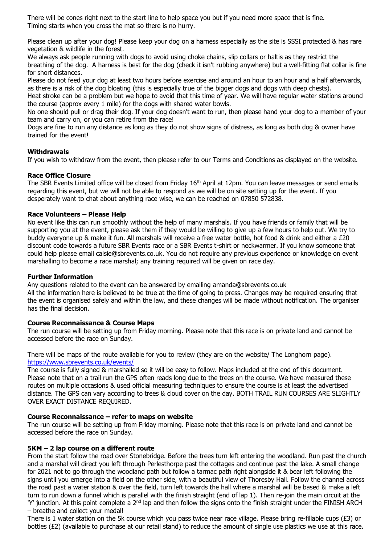There will be cones right next to the start line to help space you but if you need more space that is fine. Timing starts when you cross the mat so there is no hurry.

Please clean up after your dog! Please keep your dog on a harness especially as the site is SSSI protected & has rare vegetation & wildlife in the forest.

We always ask people running with dogs to avoid using choke chains, slip collars or haltis as they restrict the breathing of the dog. A harness is best for the dog (check it isn't rubbing anywhere) but a well-fitting flat collar is fine for short distances.

Please do not feed your dog at least two hours before exercise and around an hour to an hour and a half afterwards, as there is a risk of the dog bloating (this is especially true of the bigger dogs and dogs with deep chests).

Heat stroke can be a problem but we hope to avoid that this time of year. We will have regular water stations around the course (approx every 1 mile) for the dogs with shared water bowls.

No one should pull or drag their dog. If your dog doesn't want to run, then please hand your dog to a member of your team and carry on, or you can retire from the race!

Dogs are fine to run any distance as long as they do not show signs of distress, as long as both dog & owner have trained for the event!

### **Withdrawals**

If you wish to withdraw from the event, then please refer to our Terms and Conditions as displayed on the website.

# **Race Office Closure**

The SBR Events Limited office will be closed from Friday 16<sup>th</sup> April at 12pm. You can leave messages or send emails regarding this event, but we will not be able to respond as we will be on site setting up for the event. If you desperately want to chat about anything race wise, we can be reached on 07850 572838.

# **Race Volunteers – Please Help**

No event like this can run smoothly without the help of many marshals. If you have friends or family that will be supporting you at the event, please ask them if they would be willing to give up a few hours to help out. We try to buddy everyone up & make it fun. All marshals will receive a free water bottle, hot food & drink and either a £20 discount code towards a future SBR Events race or a SBR Events t-shirt or neckwarmer. If you know someone that could help please email calsie@sbrevents.co.uk. You do not require any previous experience or knowledge on event marshalling to become a race marshal; any training required will be given on race day.

### **Further Information**

Any questions related to the event can be answered by emailing amanda@sbrevents.co.uk All the information here is believed to be true at the time of going to press. Changes may be required ensuring that the event is organised safely and within the law, and these changes will be made without notification. The organiser has the final decision.

### **Course Reconnaissance & Course Maps**

The run course will be setting up from Friday morning. Please note that this race is on private land and cannot be accessed before the race on Sunday.

There will be maps of the route available for you to review (they are on the website/ The Longhorn page). [https://www.sbrevents.co.uk/events/](https://www.sbrevents.co.uk/events/thoresby10-2020)

The course is fully signed & marshalled so it will be easy to follow. Maps included at the end of this document. Please note that on a trail run the GPS often reads long due to the trees on the course. We have measured these routes on multiple occasions & used official measuring techniques to ensure the course is at least the advertised distance. The GPS can vary according to trees & cloud cover on the day. BOTH TRAIL RUN COURSES ARE SLIGHTLY OVER EXACT DISTANCE REQUIRED.

### **Course Reconnaissance – refer to maps on website**

The run course will be setting up from Friday morning. Please note that this race is on private land and cannot be accessed before the race on Sunday.

### **5KM – 2 lap course on a different route**

From the start follow the road over Stonebridge. Before the trees turn left entering the woodland. Run past the church and a marshal will direct you left through Perlesthorpe past the cottages and continue past the lake. A small change for 2021 not to go through the woodland path but follow a tarmac path right alongside it & bear left following the signs until you emerge into a field on the other side, with a beautiful view of Thoresby Hall. Follow the channel across the road past a water station & over the field, turn left towards the hall where a marshal will be based & make a left turn to run down a funnel which is parallel with the finish straight (end of lap 1). Then re-join the main circuit at the 'Y' junction. At this point complete a  $2^{nd}$  lap and then follow the signs onto the finish straight under the FINISH ARCH – breathe and collect your medal!

There is 1 water station on the 5k course which you pass twice near race village. Please bring re-fillable cups ( $E3$ ) or bottles (£2) (available to purchase at our retail stand) to reduce the amount of single use plastics we use at this race.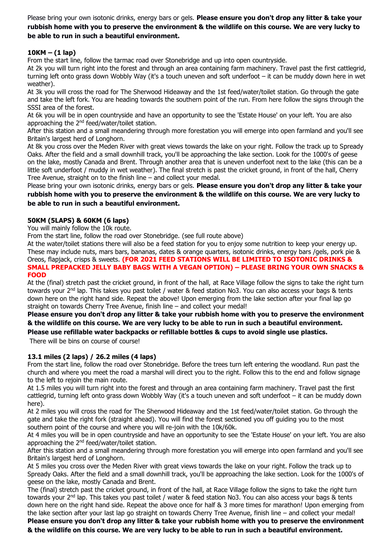Please bring your own isotonic drinks, energy bars or gels. **Please ensure you don't drop any litter & take your rubbish home with you to preserve the environment & the wildlife on this course. We are very lucky to be able to run in such a beautiful environment.** 

# **10KM – (1 lap)**

From the start line, follow the tarmac road over Stonebridge and up into open countryside.

At 2k you will turn right into the forest and through an area containing farm machinery. Travel past the first cattlegrid, turning left onto grass down Wobbly Way (it's a touch uneven and soft underfoot – it can be muddy down here in wet weather).

At 3k you will cross the road for The Sherwood Hideaway and the 1st feed/water/toilet station. Go through the gate and take the left fork. You are heading towards the southern point of the run. From here follow the signs through the SSSI area of the forest.

At 6k you will be in open countryside and have an opportunity to see the 'Estate House' on your left. You are also approaching the 2<sup>nd</sup> feed/water/toilet station.

After this station and a small meandering through more forestation you will emerge into open farmland and you'll see Britain's largest herd of Longhorn.

At 8k you cross over the Meden River with great views towards the lake on your right. Follow the track up to Spready Oaks. After the field and a small downhill track, you'll be approaching the lake section. Look for the 1000's of geese on the lake, mostly Canada and Brent. Through another area that is uneven underfoot next to the lake (this can be a little soft underfoot / muddy in wet weather). The final stretch is past the cricket ground, in front of the hall, Cherry Tree Avenue, straight on to the finish line – and collect your medal.

Please bring your own isotonic drinks, energy bars or gels. **Please ensure you don't drop any litter & take your rubbish home with you to preserve the environment & the wildlife on this course. We are very lucky to be able to run in such a beautiful environment.** 

# **50KM (5LAPS) & 60KM (6 laps)**

You will mainly follow the 10k route.

From the start line, follow the road over Stonebridge. (see full route above)

At the water/toilet stations there will also be a feed station for you to enjoy some nutrition to keep your energy up. These may include nuts, mars bars, bananas, dates & orange quarters, isotonic drinks, energy bars /gels, pork pie & Oreos, flapjack, crisps & sweets. **(FOR 2021 FEED STATIONS WILL BE LIMITED TO ISOTONIC DRINKS & SMALL PREPACKED JELLY BABY BAGS WITH A VEGAN OPTION) – PLEASE BRING YOUR OWN SNACKS & FOOD** 

At the (final) stretch past the cricket ground, in front of the hall, at Race Village follow the signs to take the right turn towards your 2<sup>nd</sup> lap. This takes you past toilet / water & feed station No3. You can also access your bags & tents down here on the right hand side. Repeat the above! Upon emerging from the lake section after your final lap go straight on towards Cherry Tree Avenue, finish line – and collect your medal!

**Please ensure you don't drop any litter & take your rubbish home with you to preserve the environment & the wildlife on this course. We are very lucky to be able to run in such a beautiful environment. Please use refillable water backpacks or refillable bottles & cups to avoid single use plastics.**

There will be bins on course of course!

# **13.1 miles (2 laps) / 26.2 miles (4 laps)**

From the start line, follow the road over Stonebridge. Before the trees turn left entering the woodland. Run past the church and where you meet the road a marshal will direct you to the right. Follow this to the end and follow signage to the left to rejoin the main route.

At 1.5 miles you will turn right into the forest and through an area containing farm machinery. Travel past the first cattlegrid, turning left onto grass down Wobbly Way (it's a touch uneven and soft underfoot – it can be muddy down here).

At 2 miles you will cross the road for The Sherwood Hideaway and the 1st feed/water/toilet station. Go through the gate and take the right fork (straight ahead). You will find the forest sectioned you off guiding you to the most southern point of the course and where you will re-join with the 10k/60k.

At 4 miles you will be in open countryside and have an opportunity to see the 'Estate House' on your left. You are also approaching the 2nd feed/water/toilet station.

After this station and a small meandering through more forestation you will emerge into open farmland and you'll see Britain's largest herd of Longhorn.

At 5 miles you cross over the Meden River with great views towards the lake on your right. Follow the track up to Spready Oaks. After the field and a small downhill track, you'll be approaching the lake section. Look for the 1000's of geese on the lake, mostly Canada and Brent.

The (final) stretch past the cricket ground, in front of the hall, at Race Village follow the signs to take the right turn towards your 2<sup>nd</sup> lap. This takes you past toilet / water & feed station No3. You can also access your bags & tents down here on the right hand side. Repeat the above once for half & 3 more times for marathon! Upon emerging from the lake section after your last lap go straight on towards Cherry Tree Avenue, finish line – and collect your medal! **Please ensure you don't drop any litter & take your rubbish home with you to preserve the environment** 

**& the wildlife on this course. We are very lucky to be able to run in such a beautiful environment.**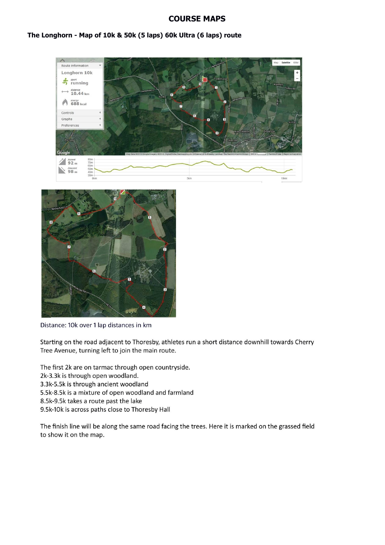# **COURSE MAPS**

### The Longhorn - Map of 10k & 50k (5 laps) 60k Ultra (6 laps) route





Distance: 10k over 1 lap distances in km

Starting on the road adjacent to Thoresby, athletes run a short distance downhill towards Cherry Tree Avenue, turning left to join the main route.

The first 2k are on tarmac through open countryside.

2k-3.3k is through open woodland.

3.3k-5.5k is through ancient woodland

- 5.5k-8.5k is a mixture of open woodland and farmland
- 8.5k-9.5k takes a route past the lake
- 9.5k-10k is across paths close to Thoresby Hall

The finish line will be along the same road facing the trees. Here it is marked on the grassed field to show it on the map.